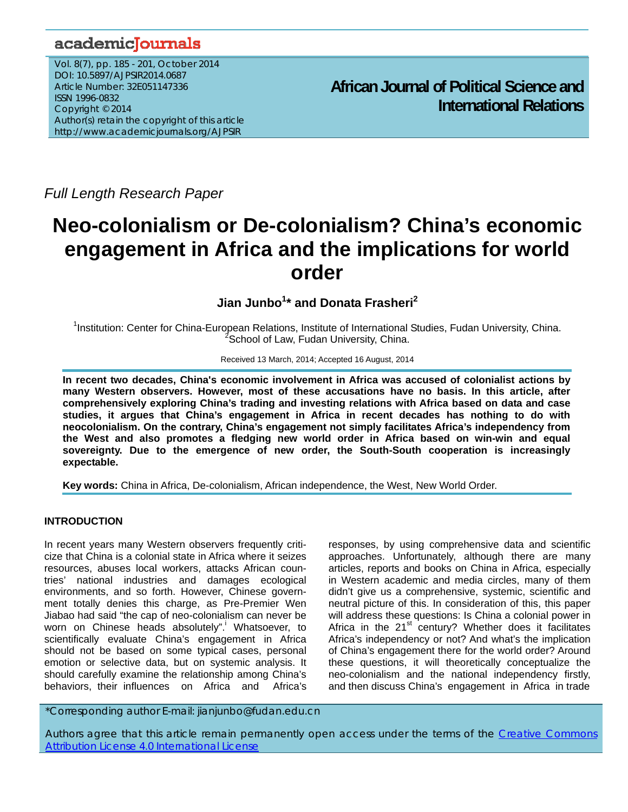## academicJournals

Vol. 8(7), pp. 185 - 201, October 2014 DOI: 10.5897/AJPSIR2014.0687 Article Number: 32E051147336 ISSN 1996-0832 Copyright © 2014 Author(s) retain the copyright of this article http://www.academicjournals.org/AJPSIR

**African Journal of Political Science and International Relations**

*Full Length Research Paper*

# **Neo-colonialism or De-colonialism? China's economic engagement in Africa and the implications for world order**

**Jian Junbo1 \* and Donata Frasheri2**

<sup>1</sup>Institution: Center for China-European Relations, Institute of International Studies, Fudan University, China. <sup>2</sup>School of Law, Fudan University, China.

Received 13 March, 2014; Accepted 16 August, 2014

**In recent two decades, China's economic involvement in Africa was accused of colonialist actions by many Western observers. However, most of these accusations have no basis. In this article, after comprehensively exploring China's trading and investing relations with Africa based on data and case studies, it argues that China's engagement in Africa in recent decades has nothing to do with neocolonialism. On the contrary, China's engagement not simply facilitates Africa's independency from the West and also promotes a fledging new world order in Africa based on win-win and equal sovereignty. Due to the emergence of new order, the South-South cooperation is increasingly expectable.** 

**Key words:** China in Africa, De-colonialism, African independence, the West, New World Order.

## **INTRODUCTION**

In recent years many Western observers frequently criticize that China is a colonial state in Africa where it seizes resources, abuses local workers, attacks African countries' national industries and damages ecological environments, and so forth. However, Chinese government totally denies this charge, as Pre-Premier Wen Jiabao had said "the cap of neo-colonialism can never be worn on Chinese heads absolutely".<sup>i</sup> Whatsoever, to scientifically evaluate China's engagement in Africa should not be based on some typical cases, personal emotion or selective data, but on systemic analysis. It should carefully examine the relationship among China's behaviors, their influences on Africa and Africa's

responses, by using comprehensive data and scientific approaches. Unfortunately, although there are many articles, reports and books on China in Africa, especially in Western academic and media circles, many of them didn't give us a comprehensive, systemic, scientific and neutral picture of this. In consideration of this, this paper will address these questions: Is China a colonial power in Africa in the  $21<sup>st</sup>$  century? Whether does it facilitates Africa's independency or not? And what's the implication of China's engagement there for the world order? Around these questions, it will theoretically conceptualize the neo-colonialism and the national independency firstly, and then discuss China's engagement in Africa in trade

\*Corresponding author E-mail: jianjunbo@fudan.edu.cn

Authors agree that this article remain permanently open access under the terms of the Creative Commons Attribution License 4.0 International License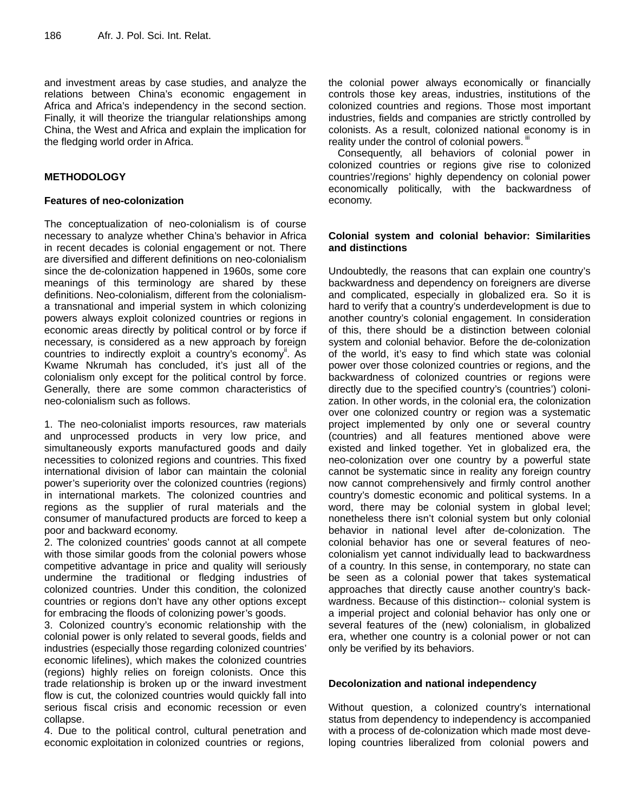and investment areas by case studies, and analyze the relations between China's economic engagement in Africa and Africa's independency in the second section. Finally, it will theorize the triangular relationships among China, the West and Africa and explain the implication for the fledging world order in Africa.

## **METHODOLOGY**

## **Features of neo-colonization**

The conceptualization of neo-colonialism is of course necessary to analyze whether China's behavior in Africa in recent decades is colonial engagement or not. There are diversified and different definitions on neo-colonialism since the de-colonization happened in 1960s, some core meanings of this terminology are shared by these definitions. Neo-colonialism, different from the colonialisma transnational and imperial system in which colonizing powers always exploit colonized countries or regions in economic areas directly by political control or by force if necessary, is considered as a new approach by foreign countries to indirectly exploit a country's economy". As Kwame Nkrumah has concluded, it's just all of the colonialism only except for the political control by force. Generally, there are some common characteristics of neo-colonialism such as follows.

1. The neo-colonialist imports resources, raw materials and unprocessed products in very low price, and simultaneously exports manufactured goods and daily necessities to colonized regions and countries. This fixed international division of labor can maintain the colonial power's superiority over the colonized countries (regions) in international markets. The colonized countries and regions as the supplier of rural materials and the consumer of manufactured products are forced to keep a poor and backward economy.

2. The colonized countries' goods cannot at all compete with those similar goods from the colonial powers whose competitive advantage in price and quality will seriously undermine the traditional or fledging industries of colonized countries. Under this condition, the colonized countries or regions don't have any other options except for embracing the floods of colonizing power's goods.

3. Colonized country's economic relationship with the colonial power is only related to several goods, fields and industries (especially those regarding colonized countries' economic lifelines), which makes the colonized countries (regions) highly relies on foreign colonists. Once this trade relationship is broken up or the inward investment flow is cut, the colonized countries would quickly fall into serious fiscal crisis and economic recession or even collapse.

4. Due to the political control, cultural penetration and economic exploitation in colonized countries or regions,

the colonial power always economically or financially controls those key areas, industries, institutions of the colonized countries and regions. Those most important industries, fields and companies are strictly controlled by colonists. As a result, colonized national economy is in reality under the control of colonial powers.

Consequently, all behaviors of colonial power in colonized countries or regions give rise to colonized countries'/regions' highly dependency on colonial power economically politically, with the backwardness of economy.

## **Colonial system and colonial behavior: Similarities and distinctions**

Undoubtedly, the reasons that can explain one country's backwardness and dependency on foreigners are diverse and complicated, especially in globalized era. So it is hard to verify that a country's underdevelopment is due to another country's colonial engagement. In consideration of this, there should be a distinction between colonial system and colonial behavior. Before the de-colonization of the world, it's easy to find which state was colonial power over those colonized countries or regions, and the backwardness of colonized countries or regions were directly due to the specified country's (countries') colonization. In other words, in the colonial era, the colonization over one colonized country or region was a systematic project implemented by only one or several country (countries) and all features mentioned above were existed and linked together. Yet in globalized era, the neo-colonization over one country by a powerful state cannot be systematic since in reality any foreign country now cannot comprehensively and firmly control another country's domestic economic and political systems. In a word, there may be colonial system in global level; nonetheless there isn't colonial system but only colonial behavior in national level after de-colonization. The colonial behavior has one or several features of neocolonialism yet cannot individually lead to backwardness of a country. In this sense, in contemporary, no state can be seen as a colonial power that takes systematical approaches that directly cause another country's backwardness. Because of this distinction-- colonial system is a imperial project and colonial behavior has only one or several features of the (new) colonialism, in globalized era, whether one country is a colonial power or not can only be verified by its behaviors.

## **Decolonization and national independency**

Without question, a colonized country's international status from dependency to independency is accompanied with a process of de-colonization which made most developing countries liberalized from colonial powers and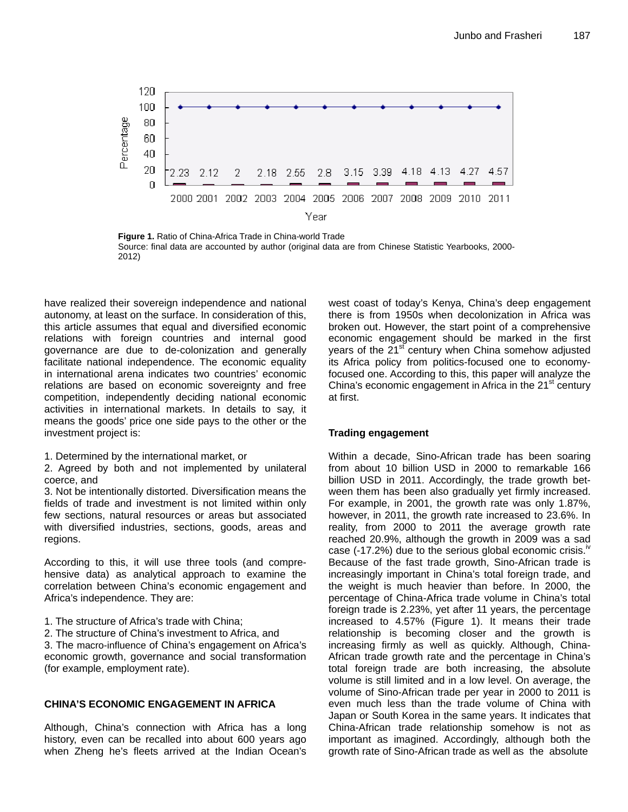

**Figure 1.** Ratio of China-Africa Trade in China-world Trade Source: final data are accounted by author (original data are from Chinese Statistic Yearbooks, 2000- 2012)

have realized their sovereign independence and national autonomy, at least on the surface. In consideration of this, this article assumes that equal and diversified economic relations with foreign countries and internal good governance are due to de-colonization and generally facilitate national independence. The economic equality in international arena indicates two countries' economic relations are based on economic sovereignty and free competition, independently deciding national economic activities in international markets. In details to say, it means the goods' price one side pays to the other or the investment project is:

1. Determined by the international market, or

2. Agreed by both and not implemented by unilateral coerce, and

3. Not be intentionally distorted. Diversification means the fields of trade and investment is not limited within only few sections, natural resources or areas but associated with diversified industries, sections, goods, areas and regions.

According to this, it will use three tools (and comprehensive data) as analytical approach to examine the correlation between China's economic engagement and Africa's independence. They are:

- 1. The structure of Africa's trade with China;
- 2. The structure of China's investment to Africa, and

3. The macro-influence of China's engagement on Africa's economic growth, governance and social transformation (for example, employment rate).

## **CHINA'S ECONOMIC ENGAGEMENT IN AFRICA**

Although, China's connection with Africa has a long history, even can be recalled into about 600 years ago when Zheng he's fleets arrived at the Indian Ocean's

west coast of today's Kenya, China's deep engagement there is from 1950s when decolonization in Africa was broken out. However, the start point of a comprehensive economic engagement should be marked in the first years of the  $21<sup>sf</sup>$  century when China somehow adjusted its Africa policy from politics-focused one to economyfocused one. According to this, this paper will analyze the China's economic engagement in Africa in the  $21<sup>st</sup>$  century at first.

### **Trading engagement**

Within a decade, Sino-African trade has been soaring from about 10 billion USD in 2000 to remarkable 166 billion USD in 2011. Accordingly, the trade growth between them has been also gradually yet firmly increased. For example, in 2001, the growth rate was only 1.87%, however, in 2011, the growth rate increased to 23.6%. In reality, from 2000 to 2011 the average growth rate reached 20.9%, although the growth in 2009 was a sad case (-17.2%) due to the serious global economic crisis.<sup> $v$ </sup> Because of the fast trade growth, Sino-African trade is increasingly important in China's total foreign trade, and the weight is much heavier than before. In 2000, the percentage of China-Africa trade volume in China's total foreign trade is 2.23%, yet after 11 years, the percentage increased to 4.57% (Figure 1). It means their trade relationship is becoming closer and the growth is increasing firmly as well as quickly. Although, China-African trade growth rate and the percentage in China's total foreign trade are both increasing, the absolute volume is still limited and in a low level. On average, the volume of Sino-African trade per year in 2000 to 2011 is even much less than the trade volume of China with Japan or South Korea in the same years. It indicates that China-African trade relationship somehow is not as important as imagined. Accordingly, although both the growth rate of Sino-African trade as well as the absolute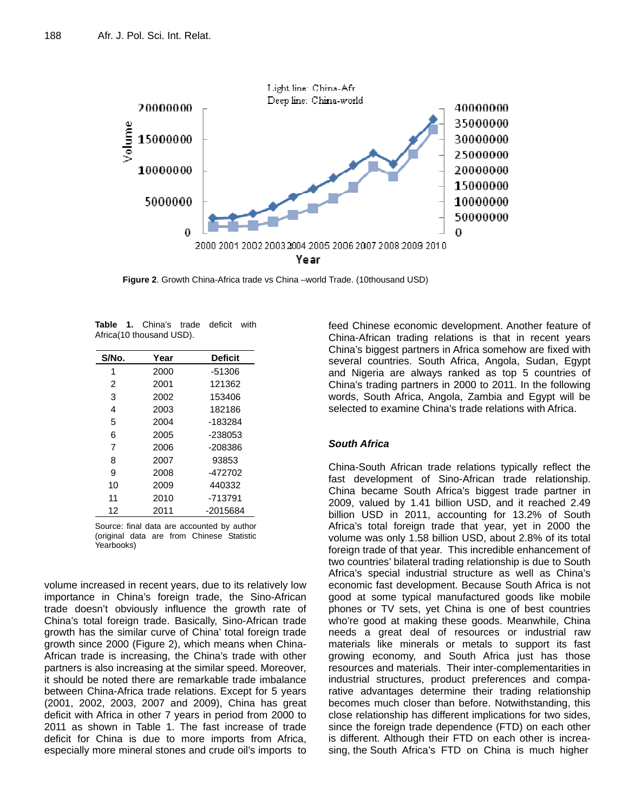

**Figure 2**. Growth China-Africa trade vs China –world Trade. (10thousand USD)

| S/No. | Year | <b>Deficit</b> |
|-------|------|----------------|
| 1     | 2000 | $-51306$       |
| 2     | 2001 | 121362         |
| 3     | 2002 | 153406         |
| 4     | 2003 | 182186         |
| 5     | 2004 | -183284        |
| 6     | 2005 | -238053        |
| 7     | 2006 | -208386        |
| 8     | 2007 | 93853          |
| 9     | 2008 | -472702        |
| 10    | 2009 | 440332         |
| 11    | 2010 | -713791        |
| 12    | 2011 | -2015684       |

**Table 1.** China's trade deficit with

Africa(10 thousand USD).

Source: final data are accounted by author (original data are from Chinese Statistic Yearbooks)

volume increased in recent years, due to its relatively low importance in China's foreign trade, the Sino-African trade doesn't obviously influence the growth rate of China's total foreign trade. Basically, Sino-African trade growth has the similar curve of China' total foreign trade growth since 2000 (Figure 2), which means when China-African trade is increasing, the China's trade with other partners is also increasing at the similar speed. Moreover, it should be noted there are remarkable trade imbalance between China-Africa trade relations. Except for 5 years (2001, 2002, 2003, 2007 and 2009), China has great deficit with Africa in other 7 years in period from 2000 to 2011 as shown in Table 1. The fast increase of trade deficit for China is due to more imports from Africa, especially more mineral stones and crude oil's imports to feed Chinese economic development. Another feature of China-African trading relations is that in recent years China's biggest partners in Africa somehow are fixed with several countries. South Africa, Angola, Sudan, Egypt and Nigeria are always ranked as top 5 countries of China's trading partners in 2000 to 2011. In the following words, South Africa, Angola, Zambia and Egypt will be selected to examine China's trade relations with Africa.

#### *South Africa*

China-South African trade relations typically reflect the fast development of Sino-African trade relationship. China became South Africa's biggest trade partner in 2009, valued by 1.41 billion USD, and it reached 2.49 billion USD in 2011, accounting for 13.2% of South Africa's total foreign trade that year, yet in 2000 the volume was only 1.58 billion USD, about 2.8% of its total foreign trade of that year. This incredible enhancement of two countries' bilateral trading relationship is due to South Africa's special industrial structure as well as China's economic fast development. Because South Africa is not good at some typical manufactured goods like mobile phones or TV sets, yet China is one of best countries who're good at making these goods. Meanwhile, China needs a great deal of resources or industrial raw materials like minerals or metals to support its fast growing economy, and South Africa just has those resources and materials. Their inter-complementarities in industrial structures, product preferences and comparative advantages determine their trading relationship becomes much closer than before. Notwithstanding, this close relationship has different implications for two sides, since the foreign trade dependence (FTD) on each other is different. Although their FTD on each other is increasing, the South Africa's FTD on China is much higher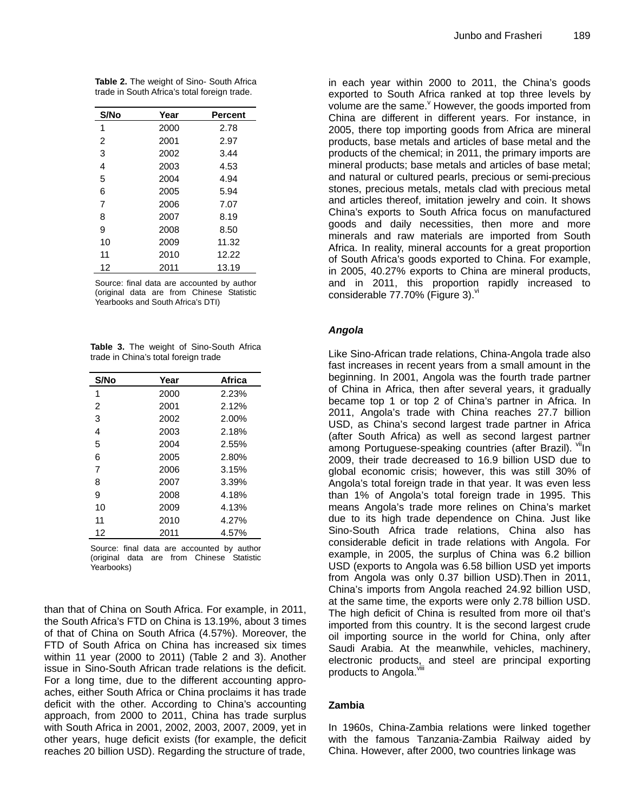**Table 2.** The weight of Sino- South Africa trade in South Africa's total foreign trade.

| S/No           | Year | Percent |
|----------------|------|---------|
| 1              | 2000 | 2.78    |
| $\overline{2}$ | 2001 | 2.97    |
| 3              | 2002 | 3.44    |
| 4              | 2003 | 4.53    |
| 5              | 2004 | 4.94    |
| 6              | 2005 | 5.94    |
| 7              | 2006 | 7.07    |
| 8              | 2007 | 8.19    |
| 9              | 2008 | 8.50    |
| 10             | 2009 | 11.32   |
| 11             | 2010 | 12.22   |
| 12             | 2011 | 13.19   |

Source: final data are accounted by author (original data are from Chinese Statistic Yearbooks and South Africa's DTI)

**Table 3.** The weight of Sino-South Africa trade in China's total foreign trade

| S/No | Year | Africa |
|------|------|--------|
| 1    | 2000 | 2.23%  |
| 2    | 2001 | 2.12%  |
| 3    | 2002 | 2.00%  |
| 4    | 2003 | 2.18%  |
| 5    | 2004 | 2.55%  |
| 6    | 2005 | 2.80%  |
| 7    | 2006 | 3.15%  |
| 8    | 2007 | 3.39%  |
| 9    | 2008 | 4.18%  |
| 10   | 2009 | 4.13%  |
| 11   | 2010 | 4.27%  |
| 12   | 2011 | 4.57%  |

Source: final data are accounted by author (original data are from Chinese Statistic Yearbooks)

than that of China on South Africa. For example, in 2011, the South Africa's FTD on China is 13.19%, about 3 times of that of China on South Africa (4.57%). Moreover, the FTD of South Africa on China has increased six times within 11 year (2000 to 2011) (Table 2 and 3). Another issue in Sino-South African trade relations is the deficit. For a long time, due to the different accounting approaches, either South Africa or China proclaims it has trade deficit with the other. According to China's accounting approach, from 2000 to 2011, China has trade surplus with South Africa in 2001, 2002, 2003, 2007, 2009, yet in other years, huge deficit exists (for example, the deficit reaches 20 billion USD). Regarding the structure of trade,

in each year within 2000 to 2011, the China's goods exported to South Africa ranked at top three levels by volume are the same. <sup>V</sup> However, the goods imported from China are different in different years. For instance, in 2005, there top importing goods from Africa are mineral products, base metals and articles of base metal and the products of the chemical; in 2011, the primary imports are mineral products; base metals and articles of base metal; and natural or cultured pearls, precious or semi-precious stones, precious metals, metals clad with precious metal and articles thereof, imitation jewelry and coin. It shows China's exports to South Africa focus on manufactured goods and daily necessities, then more and more minerals and raw materials are imported from South Africa. In reality, mineral accounts for a great proportion of South Africa's goods exported to China. For example, in 2005, 40.27% exports to China are mineral products, and in 2011, this proportion rapidly increased to considerable  $77.70\%$  (Figure 3). $\mathrm{M}$ 

## *Angola*

Like Sino-African trade relations, China-Angola trade also fast increases in recent years from a small amount in the beginning. In 2001, Angola was the fourth trade partner of China in Africa, then after several years, it gradually became top 1 or top 2 of China's partner in Africa. In 2011, Angola's trade with China reaches 27.7 billion USD, as China's second largest trade partner in Africa (after South Africa) as well as second largest partner among Portuguese-speaking countries (after Brazil). <sup>vii</sup>ln 2009, their trade decreased to 16.9 billion USD due to global economic crisis; however, this was still 30% of Angola's total foreign trade in that year. It was even less than 1% of Angola's total foreign trade in 1995. This means Angola's trade more relines on China's market due to its high trade dependence on China. Just like Sino-South Africa trade relations, China also has considerable deficit in trade relations with Angola. For example, in 2005, the surplus of China was 6.2 billion USD (exports to Angola was 6.58 billion USD yet imports from Angola was only 0.37 billion USD).Then in 2011, China's imports from Angola reached 24.92 billion USD, at the same time, the exports were only 2.78 billion USD. The high deficit of China is resulted from more oil that's imported from this country. It is the second largest crude oil importing source in the world for China, only after Saudi Arabia. At the meanwhile, vehicles, machinery, electronic products, and steel are principal exporting products to Angola.<sup>vi</sup>

#### **Zambia**

In 1960s, China-Zambia relations were linked together with the famous Tanzania-Zambia Railway aided by China. However, after 2000, two countries linkage was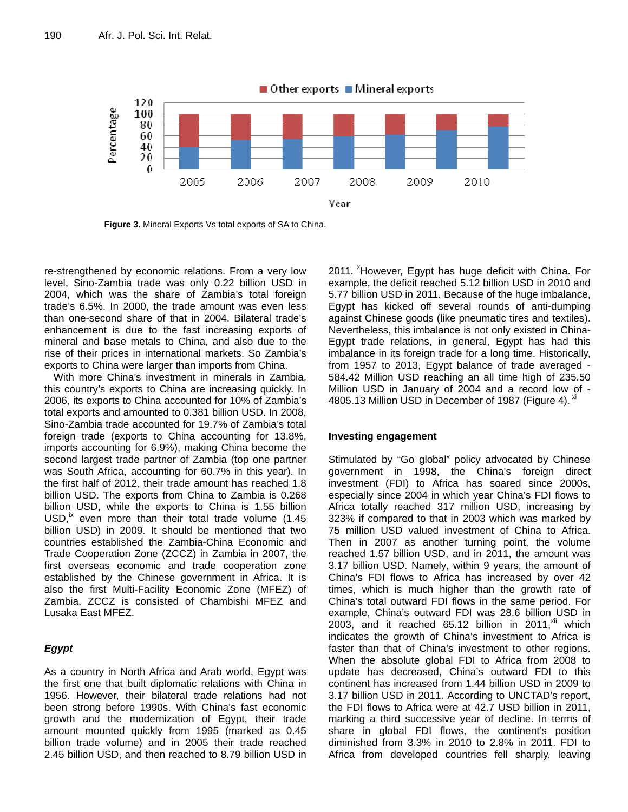

**Figure 3.** Mineral Exports Vs total exports of SA to China.

re-strengthened by economic relations. From a very low level, Sino-Zambia trade was only 0.22 billion USD in 2004, which was the share of Zambia's total foreign trade's 6.5%. In 2000, the trade amount was even less than one-second share of that in 2004. Bilateral trade's enhancement is due to the fast increasing exports of mineral and base metals to China, and also due to the rise of their prices in international markets. So Zambia's exports to China were larger than imports from China.

With more China's investment in minerals in Zambia, this country's exports to China are increasing quickly. In 2006, its exports to China accounted for 10% of Zambia's total exports and amounted to 0.381 billion USD. In 2008, Sino-Zambia trade accounted for 19.7% of Zambia's total foreign trade (exports to China accounting for 13.8%, imports accounting for 6.9%), making China become the second largest trade partner of Zambia (top one partner was South Africa, accounting for 60.7% in this year). In the first half of 2012, their trade amount has reached 1.8 billion USD. The exports from China to Zambia is 0.268 billion USD, while the exports to China is 1.55 billion  $USD<sub>1</sub>$ <sup>ix</sup> even more than their total trade volume (1.45 billion USD) in 2009. It should be mentioned that two countries established the Zambia-China Economic and Trade Cooperation Zone (ZCCZ) in Zambia in 2007, the first overseas economic and trade cooperation zone established by the Chinese government in Africa. It is also the first Multi-Facility Economic Zone (MFEZ) of Zambia. ZCCZ is consisted of Chambishi MFEZ and Lusaka East MFEZ.

## *Egypt*

As a country in North Africa and Arab world, Egypt was the first one that built diplomatic relations with China in 1956. However, their bilateral trade relations had not been strong before 1990s. With China's fast economic growth and the modernization of Egypt, their trade amount mounted quickly from 1995 (marked as 0.45 billion trade volume) and in 2005 their trade reached 2.45 billion USD, and then reached to 8.79 billion USD in 2011. However, Egypt has huge deficit with China. For example, the deficit reached 5.12 billion USD in 2010 and 5.77 billion USD in 2011. Because of the huge imbalance, Egypt has kicked off several rounds of anti-dumping against Chinese goods (like pneumatic tires and textiles). Nevertheless, this imbalance is not only existed in China-Egypt trade relations, in general, Egypt has had this imbalance in its foreign trade for a long time. Historically, from 1957 to 2013, Egypt balance of trade averaged - 584.42 Million USD reaching an all time high of 235.50 Million USD in January of 2004 and a record low of - 4805.13 Million USD in December of 1987 (Figure 4). XI

## **Investing engagement**

Stimulated by "Go global" policy advocated by Chinese government in 1998, the China's foreign direct investment (FDI) to Africa has soared since 2000s, especially since 2004 in which year China's FDI flows to Africa totally reached 317 million USD, increasing by 323% if compared to that in 2003 which was marked by 75 million USD valued investment of China to Africa. Then in 2007 as another turning point, the volume reached 1.57 billion USD, and in 2011, the amount was 3.17 billion USD. Namely, within 9 years, the amount of China's FDI flows to Africa has increased by over 42 times, which is much higher than the growth rate of China's total outward FDI flows in the same period. For example, China's outward FDI was 28.6 billion USD in 2003, and it reached  $65.12$  billion in 2011, $^{xii}$  which indicates the growth of China's investment to Africa is faster than that of China's investment to other regions. When the absolute global FDI to Africa from 2008 to update has decreased, China's outward FDI to this continent has increased from 1.44 billion USD in 2009 to 3.17 billion USD in 2011. According to UNCTAD's report, the FDI flows to Africa were at 42.7 USD billion in 2011, marking a third successive year of decline. In terms of share in global FDI flows, the continent's position diminished from 3.3% in 2010 to 2.8% in 2011. FDI to Africa from developed countries fell sharply, leaving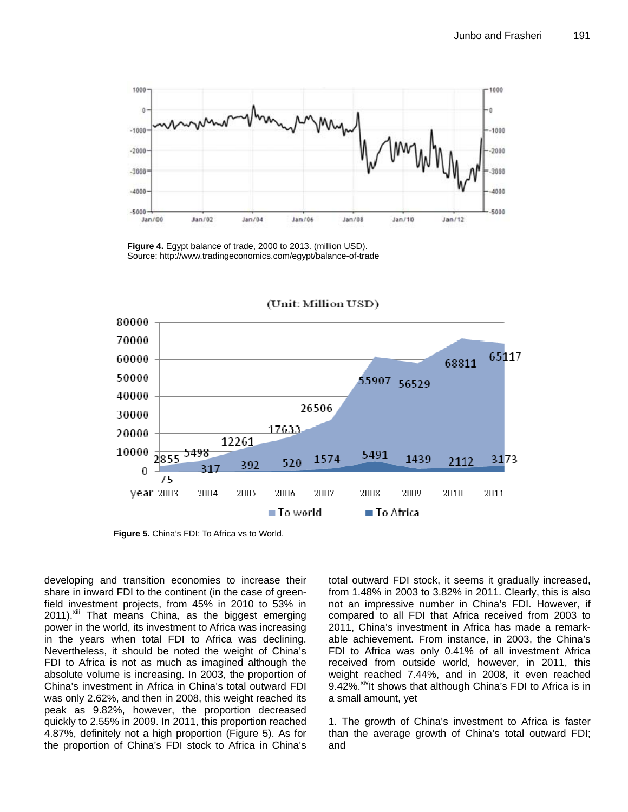

**Figure 4.** Egypt balance of trade, 2000 to 2013. (million USD). Source: http://www.tradingeconomics.com/egypt/balance-of-trade



(Unit: Million USD)

**Figure 5.** China's FDI: To Africa vs to World.

developing and transition economies to increase their share in inward FDI to the continent (in the case of greenfield investment projects, from 45% in 2010 to 53% in  $2011$ .<sup>xiii</sup> That means China, as the biggest emerging power in the world, its investment to Africa was increasing in the years when total FDI to Africa was declining. Nevertheless, it should be noted the weight of China's FDI to Africa is not as much as imagined although the absolute volume is increasing. In 2003, the proportion of China's investment in Africa in China's total outward FDI was only 2.62%, and then in 2008, this weight reached its peak as 9.82%, however, the proportion decreased quickly to 2.55% in 2009. In 2011, this proportion reached 4.87%, definitely not a high proportion (Figure 5). As for the proportion of China's FDI stock to Africa in China's

total outward FDI stock, it seems it gradually increased, from 1.48% in 2003 to 3.82% in 2011. Clearly, this is also not an impressive number in China's FDI. However, if compared to all FDI that Africa received from 2003 to 2011, China's investment in Africa has made a remarkable achievement. From instance, in 2003, the China's FDI to Africa was only 0.41% of all investment Africa received from outside world, however, in 2011, this weight reached 7.44%, and in 2008, it even reached 9.42%.<sup>xiv</sup>It shows that although China's FDI to Africa is in a small amount, yet

1. The growth of China's investment to Africa is faster than the average growth of China's total outward FDI; and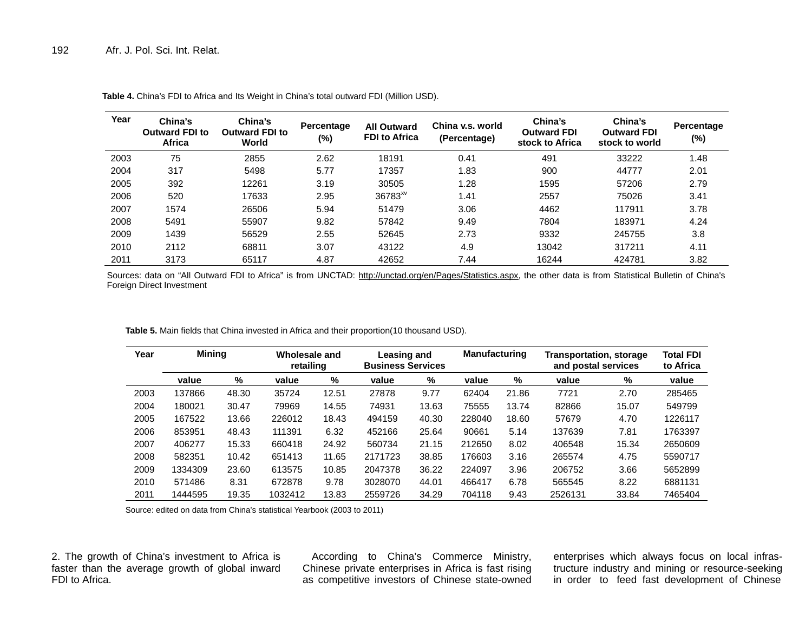| Year | China's<br><b>Outward FDI to</b><br>Africa | China's<br><b>Outward FDI to</b><br>World | Percentage<br>(%) | China v.s. world<br><b>All Outward</b><br><b>FDI to Africa</b><br>(Percentage) |      | China's<br><b>Outward FDI</b><br>stock to Africa | China's<br><b>Outward FDI</b><br>stock to world | Percentage<br>$(\%)$ |
|------|--------------------------------------------|-------------------------------------------|-------------------|--------------------------------------------------------------------------------|------|--------------------------------------------------|-------------------------------------------------|----------------------|
| 2003 | 75                                         | 2855                                      | 2.62              | 18191                                                                          | 0.41 | 491                                              | 33222                                           | 1.48                 |
| 2004 | 317                                        | 5498                                      | 5.77              | 17357                                                                          | 1.83 | 900                                              | 44777                                           | 2.01                 |
| 2005 | 392                                        | 12261                                     | 3.19              | 30505                                                                          | 1.28 | 1595                                             | 57206                                           | 2.79                 |
| 2006 | 520                                        | 17633                                     | 2.95              | 36783 <sup>xv</sup>                                                            | 1.41 | 2557                                             | 75026                                           | 3.41                 |
| 2007 | 1574                                       | 26506                                     | 5.94              | 51479                                                                          | 3.06 | 4462                                             | 117911                                          | 3.78                 |
| 2008 | 5491                                       | 55907                                     | 9.82              | 57842                                                                          | 9.49 | 7804                                             | 183971                                          | 4.24                 |
| 2009 | 1439                                       | 56529                                     | 2.55              | 52645                                                                          | 2.73 | 9332                                             | 245755                                          | 3.8                  |
| 2010 | 2112                                       | 68811                                     | 3.07              | 43122                                                                          | 4.9  | 13042                                            | 317211                                          | 4.11                 |
| 2011 | 3173                                       | 65117                                     | 4.87              | 42652                                                                          | 7.44 | 16244                                            | 424781                                          | 3.82                 |

**Table 4.** China's FDI to Africa and Its Weight in China's total outward FDI (Million USD).

Sources: data on "All Outward FDI to Africa" is from UNCTAD: http://unctad.org/en/Pages/Statistics.aspx, the other data is from Statistical Bulletin of China's Foreign Direct Investment

**Table 5.** Main fields that China invested in Africa and their proportion(10 thousand USD).

| Year | Mining  |       |         | Wholesale and<br>Leasing and<br>retailing<br><b>Business Services</b> |         |       | <b>Manufacturing</b> |       | <b>Transportation, storage</b><br>and postal services | <b>Total FDI</b><br>to Africa |         |
|------|---------|-------|---------|-----------------------------------------------------------------------|---------|-------|----------------------|-------|-------------------------------------------------------|-------------------------------|---------|
|      | value   | %     | value   | %                                                                     | value   | %     | value                | %     | value                                                 | %                             | value   |
| 2003 | 137866  | 48.30 | 35724   | 12.51                                                                 | 27878   | 9.77  | 62404                | 21.86 | 7721                                                  | 2.70                          | 285465  |
| 2004 | 180021  | 30.47 | 79969   | 14.55                                                                 | 74931   | 13.63 | 75555                | 13.74 | 82866                                                 | 15.07                         | 549799  |
| 2005 | 167522  | 13.66 | 226012  | 18.43                                                                 | 494159  | 40.30 | 228040               | 18.60 | 57679                                                 | 4.70                          | 1226117 |
| 2006 | 853951  | 48.43 | 111391  | 6.32                                                                  | 452166  | 25.64 | 90661                | 5.14  | 137639                                                | 7.81                          | 1763397 |
| 2007 | 406277  | 15.33 | 660418  | 24.92                                                                 | 560734  | 21.15 | 212650               | 8.02  | 406548                                                | 15.34                         | 2650609 |
| 2008 | 582351  | 10.42 | 651413  | 11.65                                                                 | 2171723 | 38.85 | 176603               | 3.16  | 265574                                                | 4.75                          | 5590717 |
| 2009 | 1334309 | 23.60 | 613575  | 10.85                                                                 | 2047378 | 36.22 | 224097               | 3.96  | 206752                                                | 3.66                          | 5652899 |
| 2010 | 571486  | 8.31  | 672878  | 9.78                                                                  | 3028070 | 44.01 | 466417               | 6.78  | 565545                                                | 8.22                          | 6881131 |
| 2011 | 1444595 | 19.35 | 1032412 | 13.83                                                                 | 2559726 | 34.29 | 704118               | 9.43  | 2526131                                               | 33.84                         | 7465404 |

Source: edited on data from China's statistical Yearbook (2003 to 2011)

2. The growth of China's investment to Africa is faster than the average growth of global inward FDI to Africa.

According to China's Commerce Ministry, Chinese private enterprises in Africa is fast rising as competitive investors of Chinese state-owned enterprises which always focus on local infrastructure industry and mining or resource-seeking in order to feed fast development of Chinese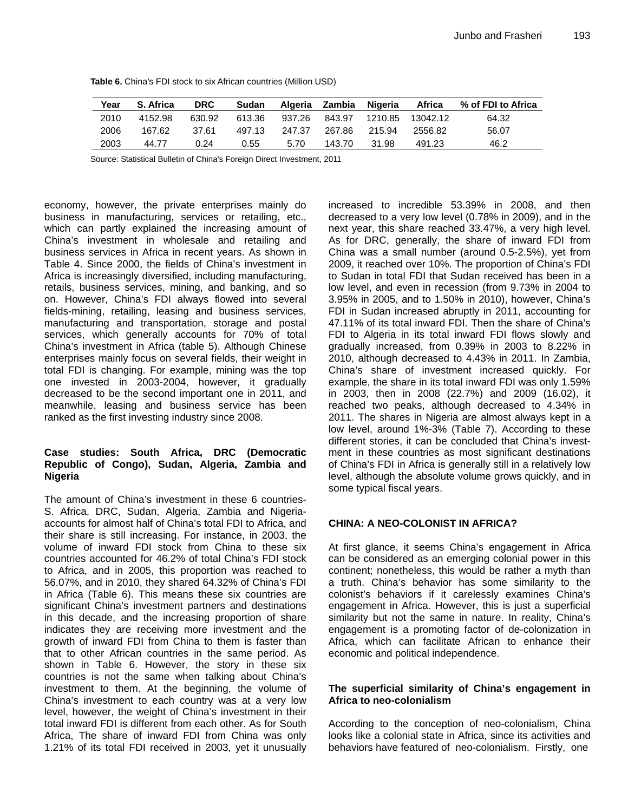| Year | <b>S. Africa</b> | <b>DRC</b> | Sudan  | Alqeria | Zambia | Nigeria | Africa   | % of FDI to Africa |
|------|------------------|------------|--------|---------|--------|---------|----------|--------------------|
| 2010 | 4152.98          | 630.92     | 613.36 | 937.26  | 843.97 | 1210.85 | 13042.12 | 64.32              |
| 2006 | 167.62           | 37.61      | 497.13 | 247.37  | 267.86 | 215.94  | 2556.82  | 56.07              |
| 2003 | 44.77            | 0.24       | 0.55   | 5.70    | 143.70 | 31.98   | 491.23   | 46.2               |

**Table 6.** China's FDI stock to six African countries (Million USD)

Source: Statistical Bulletin of China's Foreign Direct Investment, 2011

economy, however, the private enterprises mainly do business in manufacturing, services or retailing, etc., which can partly explained the increasing amount of China's investment in wholesale and retailing and business services in Africa in recent years. As shown in Table 4. Since 2000, the fields of China's investment in Africa is increasingly diversified, including manufacturing, retails, business services, mining, and banking, and so on. However, China's FDI always flowed into several fields-mining, retailing, leasing and business services, manufacturing and transportation, storage and postal services, which generally accounts for 70% of total China's investment in Africa (table 5). Although Chinese enterprises mainly focus on several fields, their weight in total FDI is changing. For example, mining was the top one invested in 2003-2004, however, it gradually decreased to be the second important one in 2011, and meanwhile, leasing and business service has been ranked as the first investing industry since 2008.

## **Case studies: South Africa, DRC (Democratic Republic of Congo), Sudan, Algeria, Zambia and Nigeria**

The amount of China's investment in these 6 countries-S. Africa, DRC, Sudan, Algeria, Zambia and Nigeriaaccounts for almost half of China's total FDI to Africa, and their share is still increasing. For instance, in 2003, the volume of inward FDI stock from China to these six countries accounted for 46.2% of total China's FDI stock to Africa, and in 2005, this proportion was reached to 56.07%, and in 2010, they shared 64.32% of China's FDI in Africa (Table 6). This means these six countries are significant China's investment partners and destinations in this decade, and the increasing proportion of share indicates they are receiving more investment and the growth of inward FDI from China to them is faster than that to other African countries in the same period. As shown in Table 6. However, the story in these six countries is not the same when talking about China's investment to them. At the beginning, the volume of China's investment to each country was at a very low level, however, the weight of China's investment in their total inward FDI is different from each other. As for South Africa, The share of inward FDI from China was only 1.21% of its total FDI received in 2003, yet it unusually

increased to incredible 53.39% in 2008, and then decreased to a very low level (0.78% in 2009), and in the next year, this share reached 33.47%, a very high level. As for DRC, generally, the share of inward FDI from China was a small number (around 0.5-2.5%), yet from 2009, it reached over 10%. The proportion of China's FDI to Sudan in total FDI that Sudan received has been in a low level, and even in recession (from 9.73% in 2004 to 3.95% in 2005, and to 1.50% in 2010), however, China's FDI in Sudan increased abruptly in 2011, accounting for 47.11% of its total inward FDI. Then the share of China's FDI to Algeria in its total inward FDI flows slowly and gradually increased, from 0.39% in 2003 to 8.22% in 2010, although decreased to 4.43% in 2011. In Zambia, China's share of investment increased quickly. For example, the share in its total inward FDI was only 1.59% in 2003, then in 2008 (22.7%) and 2009 (16.02), it reached two peaks, although decreased to 4.34% in 2011. The shares in Nigeria are almost always kept in a low level, around 1%-3% (Table 7). According to these different stories, it can be concluded that China's investment in these countries as most significant destinations of China's FDI in Africa is generally still in a relatively low level, although the absolute volume grows quickly, and in some typical fiscal years.

## **CHINA: A NEO-COLONIST IN AFRICA?**

At first glance, it seems China's engagement in Africa can be considered as an emerging colonial power in this continent; nonetheless, this would be rather a myth than a truth. China's behavior has some similarity to the colonist's behaviors if it carelessly examines China's engagement in Africa. However, this is just a superficial similarity but not the same in nature. In reality, China's engagement is a promoting factor of de-colonization in Africa, which can facilitate African to enhance their economic and political independence.

## **The superficial similarity of China's engagement in Africa to neo-colonialism**

According to the conception of neo-colonialism, China looks like a colonial state in Africa, since its activities and behaviors have featured of neo-colonialism. Firstly, one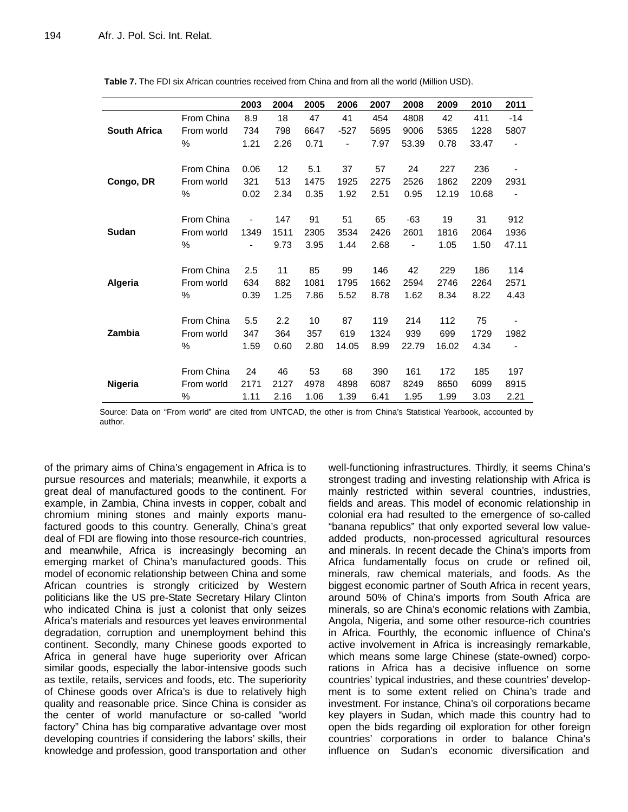|                     |            | 2003                     | 2004              | 2005 | 2006   | 2007 | 2008  | 2009  | 2010  | 2011  |
|---------------------|------------|--------------------------|-------------------|------|--------|------|-------|-------|-------|-------|
|                     | From China | 8.9                      | 18                | 47   | 41     | 454  | 4808  | 42    | 411   | $-14$ |
| <b>South Africa</b> | From world | 734                      | 798               | 6647 | $-527$ | 5695 | 9006  | 5365  | 1228  | 5807  |
|                     | $\%$       | 1.21                     | 2.26              | 0.71 | ٠      | 7.97 | 53.39 | 0.78  | 33.47 |       |
|                     |            |                          |                   |      |        |      |       |       |       |       |
|                     | From China | 0.06                     | $12 \overline{ }$ | 5.1  | 37     | 57   | 24    | 227   | 236   |       |
| Congo, DR           | From world | 321                      | 513               | 1475 | 1925   | 2275 | 2526  | 1862  | 2209  | 2931  |
|                     | %          | 0.02                     | 2.34              | 0.35 | 1.92   | 2.51 | 0.95  | 12.19 | 10.68 |       |
|                     | From China | -                        | 147               | 91   | 51     | 65   | $-63$ | 19    | 31    | 912   |
|                     |            |                          |                   |      |        |      |       |       |       |       |
| Sudan               | From world | 1349                     | 1511              | 2305 | 3534   | 2426 | 2601  | 1816  | 2064  | 1936  |
|                     | %          | $\overline{\phantom{a}}$ | 9.73              | 3.95 | 1.44   | 2.68 | -     | 1.05  | 1.50  | 47.11 |
|                     | From China | 2.5                      | 11                | 85   | 99     | 146  | 42    | 229   | 186   | 114   |
| Algeria             | From world | 634                      | 882               | 1081 | 1795   | 1662 | 2594  | 2746  | 2264  | 2571  |
|                     | $\%$       | 0.39                     | 1.25              | 7.86 | 5.52   | 8.78 | 1.62  | 8.34  | 8.22  | 4.43  |
|                     |            |                          |                   |      |        |      |       |       |       |       |
|                     | From China | 5.5                      | 2.2               | 10   | 87     | 119  | 214   | 112   | 75    |       |
| Zambia              | From world | 347                      | 364               | 357  | 619    | 1324 | 939   | 699   | 1729  | 1982  |
|                     | $\%$       | 1.59                     | 0.60              | 2.80 | 14.05  | 8.99 | 22.79 | 16.02 | 4.34  |       |
|                     |            |                          |                   |      |        |      |       |       |       |       |
|                     | From China | 24                       | 46                | 53   | 68     | 390  | 161   | 172   | 185   | 197   |
| Nigeria             | From world | 2171                     | 2127              | 4978 | 4898   | 6087 | 8249  | 8650  | 6099  | 8915  |
|                     | %          | 1.11                     | 2.16              | 1.06 | 1.39   | 6.41 | 1.95  | 1.99  | 3.03  | 2.21  |

**Table 7.** The FDI six African countries received from China and from all the world (Million USD).

Source: Data on "From world" are cited from UNTCAD, the other is from China's Statistical Yearbook, accounted by author.

of the primary aims of China's engagement in Africa is to pursue resources and materials; meanwhile, it exports a great deal of manufactured goods to the continent. For example, in Zambia, China invests in copper, cobalt and chromium mining stones and mainly exports manufactured goods to this country. Generally, China's great deal of FDI are flowing into those resource-rich countries, and meanwhile, Africa is increasingly becoming an emerging market of China's manufactured goods. This model of economic relationship between China and some African countries is strongly criticized by Western politicians like the US pre-State Secretary Hilary Clinton who indicated China is just a colonist that only seizes Africa's materials and resources yet leaves environmental degradation, corruption and unemployment behind this continent. Secondly, many Chinese goods exported to Africa in general have huge superiority over African similar goods, especially the labor-intensive goods such as textile, retails, services and foods, etc. The superiority of Chinese goods over Africa's is due to relatively high quality and reasonable price. Since China is consider as the center of world manufacture or so-called "world factory" China has big comparative advantage over most developing countries if considering the labors' skills, their knowledge and profession, good transportation and other

well-functioning infrastructures. Thirdly, it seems China's strongest trading and investing relationship with Africa is mainly restricted within several countries, industries, fields and areas. This model of economic relationship in colonial era had resulted to the emergence of so-called "banana republics" that only exported several low valueadded products, non-processed agricultural resources and minerals. In recent decade the China's imports from Africa fundamentally focus on crude or refined oil, minerals, raw chemical materials, and foods. As the biggest economic partner of South Africa in recent years, around 50% of China's imports from South Africa are minerals, so are China's economic relations with Zambia, Angola, Nigeria, and some other resource-rich countries in Africa. Fourthly, the economic influence of China's active involvement in Africa is increasingly remarkable, which means some large Chinese (state-owned) corporations in Africa has a decisive influence on some countries' typical industries, and these countries' development is to some extent relied on China's trade and investment. For instance, China's oil corporations became key players in Sudan, which made this country had to open the bids regarding oil exploration for other foreign countries' corporations in order to balance China's influence on Sudan's economic diversification and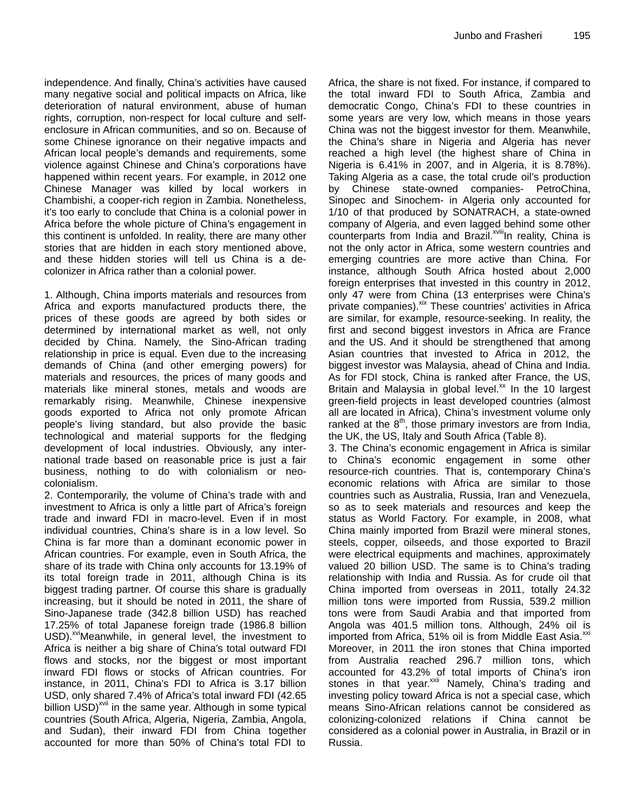independence. And finally, China's activities have caused many negative social and political impacts on Africa, like deterioration of natural environment, abuse of human rights, corruption, non-respect for local culture and selfenclosure in African communities, and so on. Because of some Chinese ignorance on their negative impacts and African local people's demands and requirements, some violence against Chinese and China's corporations have happened within recent years. For example, in 2012 one Chinese Manager was killed by local workers in Chambishi, a cooper-rich region in Zambia. Nonetheless, it's too early to conclude that China is a colonial power in Africa before the whole picture of China's engagement in this continent is unfolded. In reality, there are many other stories that are hidden in each story mentioned above, and these hidden stories will tell us China is a decolonizer in Africa rather than a colonial power.

1. Although, China imports materials and resources from Africa and exports manufactured products there, the prices of these goods are agreed by both sides or determined by international market as well, not only decided by China. Namely, the Sino-African trading relationship in price is equal. Even due to the increasing demands of China (and other emerging powers) for materials and resources, the prices of many goods and materials like mineral stones, metals and woods are remarkably rising. Meanwhile, Chinese inexpensive goods exported to Africa not only promote African people's living standard, but also provide the basic technological and material supports for the fledging development of local industries. Obviously, any international trade based on reasonable price is just a fair business, nothing to do with colonialism or neocolonialism.

2. Contemporarily, the volume of China's trade with and investment to Africa is only a little part of Africa's foreign trade and inward FDI in macro-level. Even if in most individual countries, China's share is in a low level. So China is far more than a dominant economic power in African countries. For example, even in South Africa, the share of its trade with China only accounts for 13.19% of its total foreign trade in 2011, although China is its biggest trading partner. Of course this share is gradually increasing, but it should be noted in 2011, the share of Sino-Japanese trade (342.8 billion USD) has reached 17.25% of total Japanese foreign trade (1986.8 billion USD).<sup>xvi</sup>Meanwhile, in general level, the investment to Africa is neither a big share of China's total outward FDI flows and stocks, nor the biggest or most important inward FDI flows or stocks of African countries. For instance, in 2011, China's FDI to Africa is 3.17 billion USD, only shared 7.4% of Africa's total inward FDI (42.65 billion USD)<sup>xvii</sup> in the same year. Although in some typical countries (South Africa, Algeria, Nigeria, Zambia, Angola, and Sudan), their inward FDI from China together accounted for more than 50% of China's total FDI to

Africa, the share is not fixed. For instance, if compared to the total inward FDI to South Africa, Zambia and democratic Congo, China's FDI to these countries in some years are very low, which means in those years China was not the biggest investor for them. Meanwhile, the China's share in Nigeria and Algeria has never reached a high level (the highest share of China in Nigeria is 6.41% in 2007, and in Algeria, it is 8.78%). Taking Algeria as a case, the total crude oil's production by Chinese state-owned companies- PetroChina, Sinopec and Sinochem- in Algeria only accounted for 1/10 of that produced by SONATRACH, a state-owned company of Algeria, and even lagged behind some other counterparts from India and Brazil.<sup>xviii</sup>ln reality, China is not the only actor in Africa, some western countries and emerging countries are more active than China. For instance, although South Africa hosted about 2,000 foreign enterprises that invested in this country in 2012, only 47 were from China (13 enterprises were China's private companies).<sup>xix</sup> These countries' activities in Africa are similar, for example, resource-seeking. In reality, the first and second biggest investors in Africa are France and the US. And it should be strengthened that among Asian countries that invested to Africa in 2012, the biggest investor was Malaysia, ahead of China and India. As for FDI stock, China is ranked after France, the US, Britain and Malaysia in global level. $^{xx}$  In the 10 largest green-field projects in least developed countries (almost all are located in Africa), China's investment volume only ranked at the  $8<sup>th</sup>$ , those primary investors are from India, the UK, the US, Italy and South Africa (Table 8).

3. The China's economic engagement in Africa is similar to China's economic engagement in some other resource-rich countries. That is, contemporary China's economic relations with Africa are similar to those countries such as Australia, Russia, Iran and Venezuela, so as to seek materials and resources and keep the status as World Factory. For example, in 2008, what China mainly imported from Brazil were mineral stones, steels, copper, oilseeds, and those exported to Brazil were electrical equipments and machines, approximately valued 20 billion USD. The same is to China's trading relationship with India and Russia. As for crude oil that China imported from overseas in 2011, totally 24.32 million tons were imported from Russia, 539.2 million tons were from Saudi Arabia and that imported from Angola was 401.5 million tons. Although, 24% oil is imported from Africa, 51% oil is from Middle East Asia.<sup>xxi</sup> Moreover, in 2011 the iron stones that China imported from Australia reached 296.7 million tons, which accounted for 43.2% of total imports of China's iron stones in that year.<sup>xxii</sup> Namely, China's trading and investing policy toward Africa is not a special case, which means Sino-African relations cannot be considered as colonizing-colonized relations if China cannot be considered as a colonial power in Australia, in Brazil or in Russia.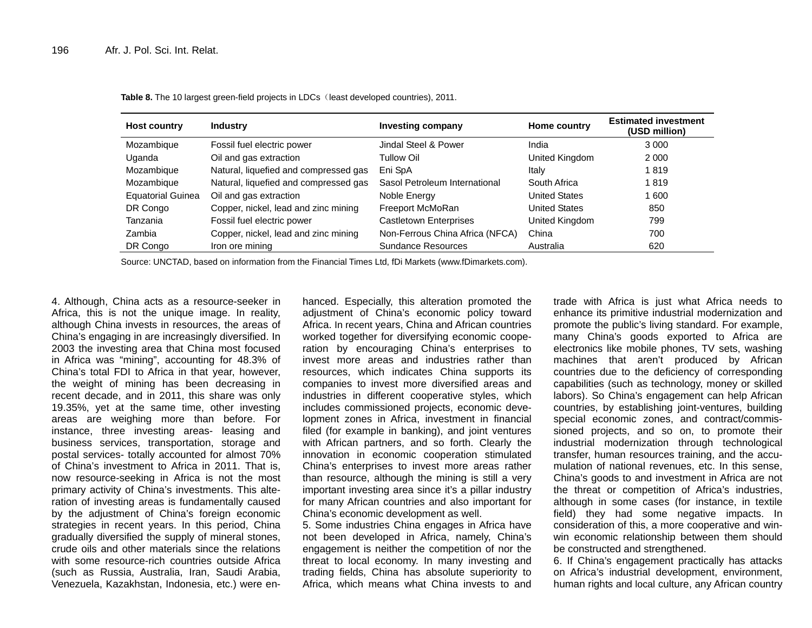| <b>Host country</b>      | <b>Industry</b>                       | <b>Investing company</b>        | Home country         | <b>Estimated investment</b><br>(USD million) |
|--------------------------|---------------------------------------|---------------------------------|----------------------|----------------------------------------------|
| Mozambique               | Fossil fuel electric power            | Jindal Steel & Power            | India                | 3 0 0 0                                      |
| Uganda                   | Oil and gas extraction                | Tullow Oil                      | United Kingdom       | 2 0 0 0                                      |
| Mozambique               | Natural, liquefied and compressed gas | Eni SpA                         | Italv                | 1819                                         |
| Mozambique               | Natural, liquefied and compressed gas | Sasol Petroleum International   | South Africa         | 1819                                         |
| <b>Equatorial Guinea</b> | Oil and gas extraction                | Noble Energy                    | <b>United States</b> | 1 600                                        |
| DR Congo                 | Copper, nickel, lead and zinc mining  | Freeport McMoRan                | <b>United States</b> | 850                                          |
| Tanzania                 | Fossil fuel electric power            | Castletown Enterprises          | United Kingdom       | 799                                          |
| Zambia                   | Copper, nickel, lead and zinc mining  | Non-Ferrous China Africa (NFCA) | China                | 700                                          |
| DR Congo                 | Iron ore mining                       | <b>Sundance Resources</b>       | Australia            | 620                                          |

**Table 8.** The 10 largest green-field projects in LDCs (least developed countries), 2011.

Source: UNCTAD, based on information from the Financial Times Ltd, fDi Markets (www.fDimarkets.com).

4. Although, China acts as a resource-seeker in Africa, this is not the unique image. In reality, although China invests in resources, the areas of China's engaging in are increasingly diversified. In 2003 the investing area that China most focused in Africa was "mining", accounting for 48.3% of China's total FDI to Africa in that year, however, the weight of mining has been decreasing in recent decade, and in 2011, this share was only 19.35%, yet at the same time, other investing areas are weighing more than before. For instance, three investing areas- leasing and business services, transportation, storage and postal services- totally accounted for almost 70% of China's investment to Africa in 2011. That is, now resource-seeking in Africa is not the most primary activity of China's investments. This alteration of investing areas is fundamentally caused by the adjustment of China's foreign economic strategies in recent years. In this period, China gradually diversified the supply of mineral stones, crude oils and other materials since the relations with some resource-rich countries outside Africa (such as Russia, Australia, Iran, Saudi Arabia, Venezuela, Kazakhstan, Indonesia, etc.) were enhanced. Especially, this alteration promoted the adjustment of China's economic policy toward Africa. In recent years, China and African countries worked together for diversifying economic coope ration by encouraging China's enterprises to<br>invest more areas and industries rather than<br>resources, which indicates China supports its<br>companies to invest more diversified areas and<br>industries in different cooperative sty

hanced. Especially, this alteration promoted the track with Africa is just what Africa needs to the<br>adjustment of China's economic policy toward enhance its primitive industrial modernization and<br>Africa. In recent years, C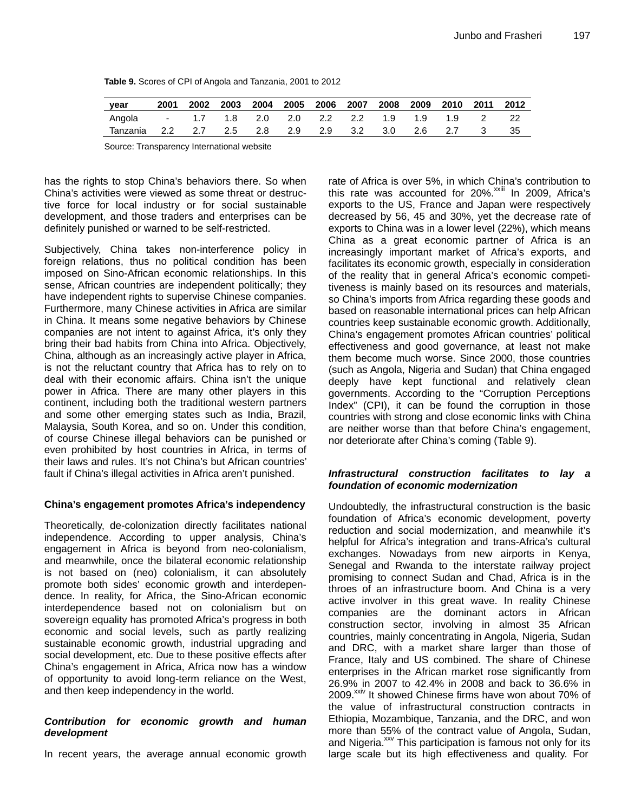**Table 9.** Scores of CPI of Angola and Tanzania, 2001 to 2012

| year                                                  | 2001 |  |  |  | 2002 2003 2004 2005 2006 2007 2008 2009 2010 |  | 2011 2012 |  |
|-------------------------------------------------------|------|--|--|--|----------------------------------------------|--|-----------|--|
| Angola - 1.7 1.8 2.0 2.0 2.2 2.2 1.9 1.9 1.9          |      |  |  |  |                                              |  |           |  |
| Tanzania 2.2 2.7 2.5 2.8 2.9 2.9 3.2 3.0 2.6 2.7 3 35 |      |  |  |  |                                              |  |           |  |

Source: Transparency International website

has the rights to stop China's behaviors there. So when China's activities were viewed as some threat or destructive force for local industry or for social sustainable development, and those traders and enterprises can be definitely punished or warned to be self-restricted.

Subjectively, China takes non-interference policy in foreign relations, thus no political condition has been imposed on Sino-African economic relationships. In this sense, African countries are independent politically; they have independent rights to supervise Chinese companies. Furthermore, many Chinese activities in Africa are similar in China. It means some negative behaviors by Chinese companies are not intent to against Africa, it's only they bring their bad habits from China into Africa. Objectively, China, although as an increasingly active player in Africa, is not the reluctant country that Africa has to rely on to deal with their economic affairs. China isn't the unique power in Africa. There are many other players in this continent, including both the traditional western partners and some other emerging states such as India, Brazil, Malaysia, South Korea, and so on. Under this condition, of course Chinese illegal behaviors can be punished or even prohibited by host countries in Africa, in terms of their laws and rules. It's not China's but African countries' fault if China's illegal activities in Africa aren't punished.

#### **China's engagement promotes Africa's independency**

Theoretically, de-colonization directly facilitates national independence. According to upper analysis, China's engagement in Africa is beyond from neo-colonialism, and meanwhile, once the bilateral economic relationship is not based on (neo) colonialism, it can absolutely promote both sides' economic growth and interdependence. In reality, for Africa, the Sino-African economic interdependence based not on colonialism but on sovereign equality has promoted Africa's progress in both economic and social levels, such as partly realizing sustainable economic growth, industrial upgrading and social development, etc. Due to these positive effects after China's engagement in Africa, Africa now has a window of opportunity to avoid long-term reliance on the West, and then keep independency in the world.

## *Contribution for economic growth and human development*

In recent years, the average annual economic growth

rate of Africa is over 5%, in which China's contribution to this rate was accounted for 20%.<sup>xxiii</sup> In 2009, Africa's exports to the US, France and Japan were respectively decreased by 56, 45 and 30%, yet the decrease rate of exports to China was in a lower level (22%), which means China as a great economic partner of Africa is an increasingly important market of Africa's exports, and facilitates its economic growth, especially in consideration of the reality that in general Africa's economic competitiveness is mainly based on its resources and materials, so China's imports from Africa regarding these goods and based on reasonable international prices can help African countries keep sustainable economic growth. Additionally, China's engagement promotes African countries' political effectiveness and good governance, at least not make them become much worse. Since 2000, those countries (such as Angola, Nigeria and Sudan) that China engaged deeply have kept functional and relatively clean governments. According to the "Corruption Perceptions Index" (CPI), it can be found the corruption in those countries with strong and close economic links with China are neither worse than that before China's engagement, nor deteriorate after China's coming (Table 9).

### *Infrastructural construction facilitates to lay a foundation of economic modernization*

Undoubtedly, the infrastructural construction is the basic foundation of Africa's economic development, poverty reduction and social modernization, and meanwhile it's helpful for Africa's integration and trans-Africa's cultural exchanges. Nowadays from new airports in Kenya, Senegal and Rwanda to the interstate railway project promising to connect Sudan and Chad, Africa is in the throes of an infrastructure boom. And China is a very active involver in this great wave. In reality Chinese companies are the dominant actors in African construction sector, involving in almost 35 African countries, mainly concentrating in Angola, Nigeria, Sudan and DRC, with a market share larger than those of France, Italy and US combined. The share of Chinese enterprises in the African market rose significantly from 26.9% in 2007 to 42.4% in 2008 and back to 36.6% in 2009.<sup>xxiv</sup> It showed Chinese firms have won about 70% of the value of infrastructural construction contracts in Ethiopia, Mozambique, Tanzania, and the DRC, and won more than 55% of the contract value of Angola, Sudan, and Nigeria.<sup>xxv</sup> This participation is famous not only for its large scale but its high effectiveness and quality. For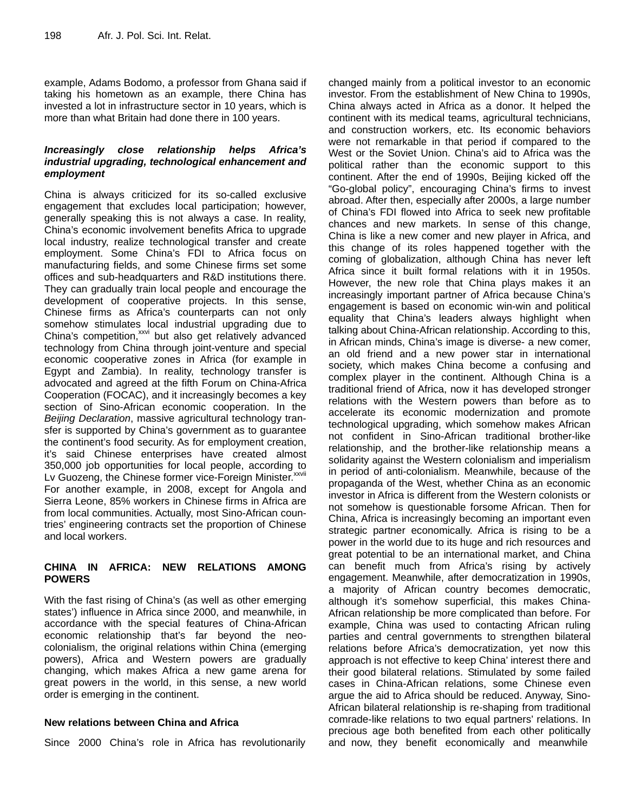example, Adams Bodomo, a professor from Ghana said if taking his hometown as an example, there China has invested a lot in infrastructure sector in 10 years, which is more than what Britain had done there in 100 years.

## *Increasingly close relationship helps Africa's industrial upgrading, technological enhancement and employment*

China is always criticized for its so-called exclusive engagement that excludes local participation; however, generally speaking this is not always a case. In reality, China's economic involvement benefits Africa to upgrade local industry, realize technological transfer and create employment. Some China's FDI to Africa focus on manufacturing fields, and some Chinese firms set some offices and sub-headquarters and R&D institutions there. They can gradually train local people and encourage the development of cooperative projects. In this sense, Chinese firms as Africa's counterparts can not only somehow stimulates local industrial upgrading due to China's competition,xxvi but also get relatively advanced technology from China through joint-venture and special economic cooperative zones in Africa (for example in Egypt and Zambia). In reality, technology transfer is advocated and agreed at the fifth Forum on China-Africa Cooperation (FOCAC), and it increasingly becomes a key section of Sino-African economic cooperation. In the *Beijing Declaration*, massive agricultural technology transfer is supported by China's government as to guarantee the continent's food security. As for employment creation, it's said Chinese enterprises have created almost 350,000 job opportunities for local people, according to Lv Guozeng, the Chinese former vice-Foreign Minister.<sup>xxvii</sup> For another example, in 2008, except for Angola and Sierra Leone, 85% workers in Chinese firms in Africa are from local communities. Actually, most Sino-African countries' engineering contracts set the proportion of Chinese and local workers.

## **CHINA IN AFRICA: NEW RELATIONS AMONG POWERS**

With the fast rising of China's (as well as other emerging states') influence in Africa since 2000, and meanwhile, in accordance with the special features of China-African economic relationship that's far beyond the neocolonialism, the original relations within China (emerging powers), Africa and Western powers are gradually changing, which makes Africa a new game arena for great powers in the world, in this sense, a new world order is emerging in the continent.

## **New relations between China and Africa**

Since 2000 China's role in Africa has revolutionarily

changed mainly from a political investor to an economic investor. From the establishment of New China to 1990s, China always acted in Africa as a donor. It helped the continent with its medical teams, agricultural technicians, and construction workers, etc. Its economic behaviors were not remarkable in that period if compared to the West or the Soviet Union. China's aid to Africa was the political rather than the economic support to this continent. After the end of 1990s, Beijing kicked off the "Go-global policy", encouraging China's firms to invest abroad. After then, especially after 2000s, a large number of China's FDI flowed into Africa to seek new profitable chances and new markets. In sense of this change, China is like a new comer and new player in Africa, and this change of its roles happened together with the coming of globalization, although China has never left Africa since it built formal relations with it in 1950s. However, the new role that China plays makes it an increasingly important partner of Africa because China's engagement is based on economic win-win and political equality that China's leaders always highlight when talking about China-African relationship. According to this, in African minds, China's image is diverse- a new comer, an old friend and a new power star in international society, which makes China become a confusing and complex player in the continent. Although China is a traditional friend of Africa, now it has developed stronger relations with the Western powers than before as to accelerate its economic modernization and promote technological upgrading, which somehow makes African not confident in Sino-African traditional brother-like relationship, and the brother-like relationship means a solidarity against the Western colonialism and imperialism in period of anti-colonialism. Meanwhile, because of the propaganda of the West, whether China as an economic investor in Africa is different from the Western colonists or not somehow is questionable forsome African. Then for China, Africa is increasingly becoming an important even strategic partner economically. Africa is rising to be a power in the world due to its huge and rich resources and great potential to be an international market, and China can benefit much from Africa's rising by actively engagement. Meanwhile, after democratization in 1990s, a majority of African country becomes democratic, although it's somehow superficial, this makes China-African relationship be more complicated than before. For example, China was used to contacting African ruling parties and central governments to strengthen bilateral relations before Africa's democratization, yet now this approach is not effective to keep China' interest there and their good bilateral relations. Stimulated by some failed cases in China-African relations, some Chinese even argue the aid to Africa should be reduced. Anyway, Sino-African bilateral relationship is re-shaping from traditional comrade-like relations to two equal partners' relations. In precious age both benefited from each other politically and now, they benefit economically and meanwhile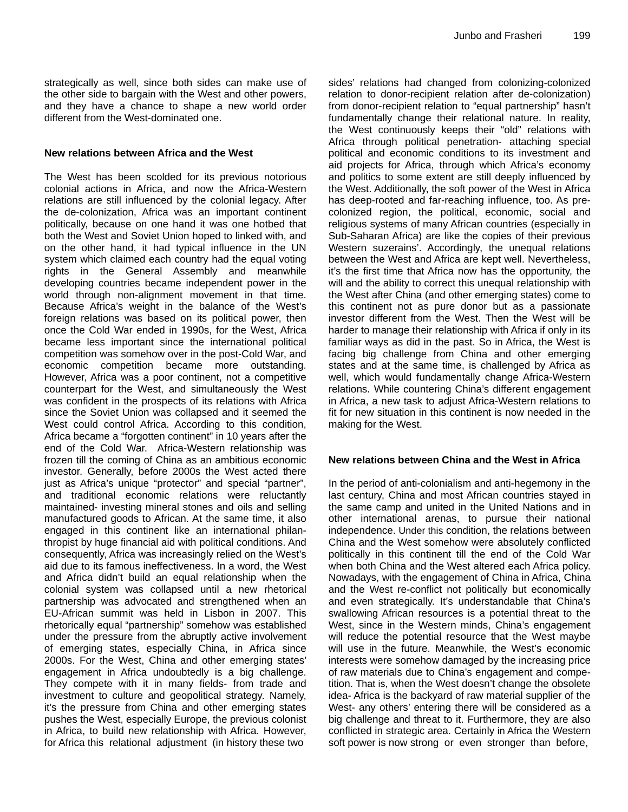strategically as well, since both sides can make use of the other side to bargain with the West and other powers, and they have a chance to shape a new world order different from the West-dominated one.

## **New relations between Africa and the West**

The West has been scolded for its previous notorious colonial actions in Africa, and now the Africa-Western relations are still influenced by the colonial legacy. After the de-colonization, Africa was an important continent politically, because on one hand it was one hotbed that both the West and Soviet Union hoped to linked with, and on the other hand, it had typical influence in the UN system which claimed each country had the equal voting rights in the General Assembly and meanwhile developing countries became independent power in the world through non-alignment movement in that time. Because Africa's weight in the balance of the West's foreign relations was based on its political power, then once the Cold War ended in 1990s, for the West, Africa became less important since the international political competition was somehow over in the post-Cold War, and economic competition became more outstanding. However, Africa was a poor continent, not a competitive counterpart for the West, and simultaneously the West was confident in the prospects of its relations with Africa since the Soviet Union was collapsed and it seemed the West could control Africa. According to this condition, Africa became a "forgotten continent" in 10 years after the end of the Cold War. Africa-Western relationship was frozen till the coming of China as an ambitious economic investor. Generally, before 2000s the West acted there just as Africa's unique "protector" and special "partner", and traditional economic relations were reluctantly maintained- investing mineral stones and oils and selling manufactured goods to African. At the same time, it also engaged in this continent like an international philanthropist by huge financial aid with political conditions. And consequently, Africa was increasingly relied on the West's aid due to its famous ineffectiveness. In a word, the West and Africa didn't build an equal relationship when the colonial system was collapsed until a new rhetorical partnership was advocated and strengthened when an EU-African summit was held in Lisbon in 2007. This rhetorically equal "partnership" somehow was established under the pressure from the abruptly active involvement of emerging states, especially China, in Africa since 2000s. For the West, China and other emerging states' engagement in Africa undoubtedly is a big challenge. They compete with it in many fields- from trade and investment to culture and geopolitical strategy. Namely, it's the pressure from China and other emerging states pushes the West, especially Europe, the previous colonist in Africa, to build new relationship with Africa. However, for Africa this relational adjustment (in history these two

sides' relations had changed from colonizing-colonized relation to donor-recipient relation after de-colonization) from donor-recipient relation to "equal partnership" hasn't fundamentally change their relational nature. In reality, the West continuously keeps their "old" relations with Africa through political penetration- attaching special political and economic conditions to its investment and aid projects for Africa, through which Africa's economy and politics to some extent are still deeply influenced by the West. Additionally, the soft power of the West in Africa has deep-rooted and far-reaching influence, too. As precolonized region, the political, economic, social and religious systems of many African countries (especially in Sub-Saharan Africa) are like the copies of their previous Western suzerains'. Accordingly, the unequal relations between the West and Africa are kept well. Nevertheless, it's the first time that Africa now has the opportunity, the will and the ability to correct this unequal relationship with the West after China (and other emerging states) come to this continent not as pure donor but as a passionate investor different from the West. Then the West will be harder to manage their relationship with Africa if only in its familiar ways as did in the past. So in Africa, the West is facing big challenge from China and other emerging states and at the same time, is challenged by Africa as well, which would fundamentally change Africa-Western relations. While countering China's different engagement in Africa, a new task to adjust Africa-Western relations to fit for new situation in this continent is now needed in the making for the West.

## **New relations between China and the West in Africa**

In the period of anti-colonialism and anti-hegemony in the last century, China and most African countries stayed in the same camp and united in the United Nations and in other international arenas, to pursue their national independence. Under this condition, the relations between China and the West somehow were absolutely conflicted politically in this continent till the end of the Cold War when both China and the West altered each Africa policy. Nowadays, with the engagement of China in Africa, China and the West re-conflict not politically but economically and even strategically. It's understandable that China's swallowing African resources is a potential threat to the West, since in the Western minds, China's engagement will reduce the potential resource that the West maybe will use in the future. Meanwhile, the West's economic interests were somehow damaged by the increasing price of raw materials due to China's engagement and competition. That is, when the West doesn't change the obsolete idea- Africa is the backyard of raw material supplier of the West- any others' entering there will be considered as a big challenge and threat to it. Furthermore, they are also conflicted in strategic area. Certainly in Africa the Western soft power is now strong or even stronger than before,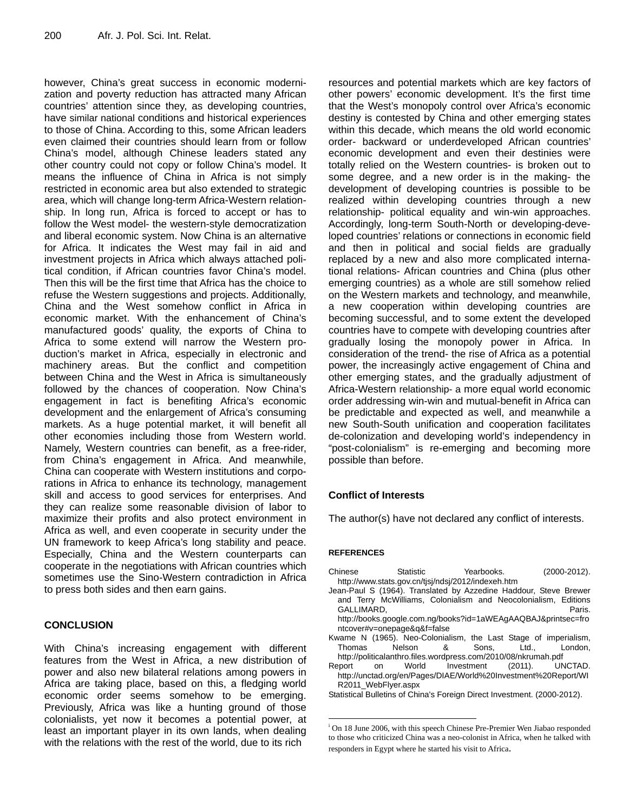however, China's great success in economic modernization and poverty reduction has attracted many African countries' attention since they, as developing countries, have similar national conditions and historical experiences to those of China. According to this, some African leaders even claimed their countries should learn from or follow China's model, although Chinese leaders stated any other country could not copy or follow China's model. It means the influence of China in Africa is not simply restricted in economic area but also extended to strategic area, which will change long-term Africa-Western relationship. In long run, Africa is forced to accept or has to follow the West model- the western-style democratization and liberal economic system. Now China is an alternative for Africa. It indicates the West may fail in aid and investment projects in Africa which always attached political condition, if African countries favor China's model. Then this will be the first time that Africa has the choice to refuse the Western suggestions and projects. Additionally, China and the West somehow conflict in Africa in economic market. With the enhancement of China's manufactured goods' quality, the exports of China to Africa to some extend will narrow the Western production's market in Africa, especially in electronic and machinery areas. But the conflict and competition between China and the West in Africa is simultaneously followed by the chances of cooperation. Now China's engagement in fact is benefiting Africa's economic development and the enlargement of Africa's consuming markets. As a huge potential market, it will benefit all other economies including those from Western world. Namely, Western countries can benefit, as a free-rider, from China's engagement in Africa. And meanwhile, China can cooperate with Western institutions and corporations in Africa to enhance its technology, management skill and access to good services for enterprises. And they can realize some reasonable division of labor to maximize their profits and also protect environment in Africa as well, and even cooperate in security under the UN framework to keep Africa's long stability and peace. Especially, China and the Western counterparts can cooperate in the negotiations with African countries which sometimes use the Sino-Western contradiction in Africa to press both sides and then earn gains.

## **CONCLUSION**

With China's increasing engagement with different features from the West in Africa, a new distribution of power and also new bilateral relations among powers in Africa are taking place, based on this, a fledging world economic order seems somehow to be emerging. Previously, Africa was like a hunting ground of those colonialists, yet now it becomes a potential power, at least an important player in its own lands, when dealing with the relations with the rest of the world, due to its rich

resources and potential markets which are key factors of other powers' economic development. It's the first time that the West's monopoly control over Africa's economic destiny is contested by China and other emerging states within this decade, which means the old world economic order- backward or underdeveloped African countries' economic development and even their destinies were totally relied on the Western countries- is broken out to some degree, and a new order is in the making- the development of developing countries is possible to be realized within developing countries through a new relationship- political equality and win-win approaches. Accordingly, long-term South-North or developing-developed countries' relations or connections in economic field and then in political and social fields are gradually replaced by a new and also more complicated international relations- African countries and China (plus other emerging countries) as a whole are still somehow relied on the Western markets and technology, and meanwhile, a new cooperation within developing countries are becoming successful, and to some extent the developed countries have to compete with developing countries after gradually losing the monopoly power in Africa. In consideration of the trend- the rise of Africa as a potential power, the increasingly active engagement of China and other emerging states, and the gradually adjustment of Africa-Western relationship- a more equal world economic order addressing win-win and mutual-benefit in Africa can be predictable and expected as well, and meanwhile a new South-South unification and cooperation facilitates de-colonization and developing world's independency in "post-colonialism" is re-emerging and becoming more possible than before.

## **Conflict of Interests**

The author(s) have not declared any conflict of interests.

#### **REFERENCES**

 $\overline{a}$ 

- Chinese Statistic Yearbooks. (2000-2012). http://www.stats.gov.cn/tjsj/ndsj/2012/indexeh.htm
- Jean-Paul S (1964). Translated by Azzedine Haddour, Steve Brewer and Terry McWilliams, Colonialism and Neocolonialism, Editions GALLIMARD, http://books.google.com.ng/books?id=1aWEAgAAQBAJ&printsec=fro
- ntcover#v=onepage&q&f=false
- Kwame N (1965). Neo-Colonialism, the Last Stage of imperialism, Thomas Nelson & Sons, Ltd., London, http://politicalanthro.files.wordpress.com/2010/08/nkrumah.pdf
- Report on World Investment (2011). UNCTAD. http://unctad.org/en/Pages/DIAE/World%20Investment%20Report/WI R2011\_WebFlyer.aspx
- Statistical Bulletins of China's Foreign Direct Investment. (2000-2012).

<sup>&</sup>lt;sup>i</sup> On 18 June 2006, with this speech Chinese Pre-Premier Wen Jiabao responded to those who criticized China was a neo-colonist in Africa, when he talked with responders in Egypt where he started his visit to Africa.